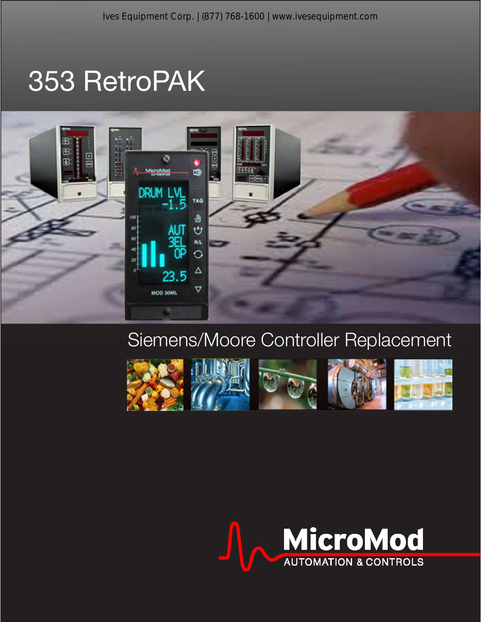# 353 RetroPAK



## Siemens/Moore Controller Replacement



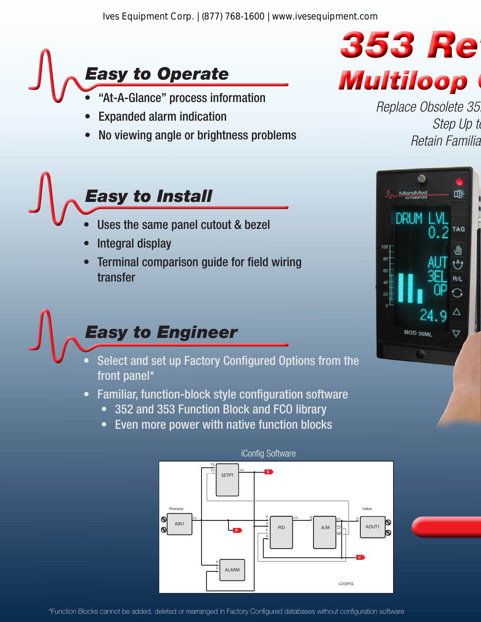

- "At-A-Glance" process information
- Expanded alarm indication
- No viewing angle or brightness problems

## *Easy to Install*

- Uses the same panel cutout & bezel
- Integral display
- Terminal comparison guide for field wiring transfer

# *Easy to Engineer*

- Select and set up Factory Configured Options from the front panel\*
- Familiar, function-block style configuration software
	- 352 and 353 Function Block and FCO library
	- Even more power with native function blocks



#### iConfig Software



*Replace Obsolete 352, 352P, and 353 Controllers Step Up to Retain Familiar Form, Fit & Function*

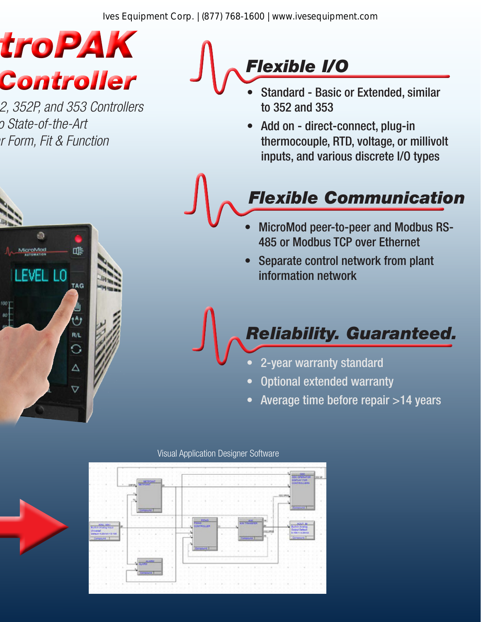Ives Equipment Corp. | (877) 768-1600 | www.ivesequipment.com

# *353 RetroPAK* **Controller** *J* **V Controller** *Controller Multiple <b>Controller Controller Multiple <b>C*

*Replace Obsolete 352, 352P, and 353 Controllers Step Up to State-of-the-Art Retain Familiar Form, Fit & Function*

ď⊧

TAG

 $R/L$ 

Δ

 $\overline{\nabla}$ 

ø

EVEL LO

croMod

### *Flexible I/O*

- to 352 and 353
- Add on direct-connect, plug-in thermocouple, RTD, voltage, or millivolt inputs, and various discrete I/O types

### *Flexible Communication*

- MicroMod peer-to-peer and Modbus RS-485 or Modbus TCP over Ethernet
- Separate control network from plant information network

#### *Reliability. Guaranteed.*

- 2-year warranty standard
- Optional extended warranty
- Average time before repair >14 years



Visual Application Designer Software